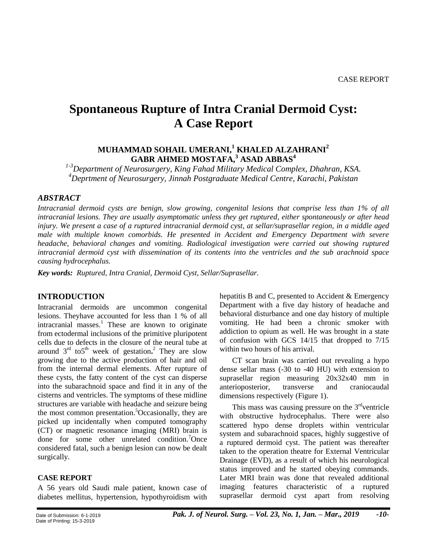# **Spontaneous Rupture of Intra Cranial Dermoid Cyst: A Case Report**

## **MUHAMMAD SOHAIL UMERANI,<sup>1</sup> KHALED ALZAHRANI<sup>2</sup> GABR AHMED MOSTAFA,<sup>3</sup> ASAD ABBAS<sup>4</sup>**

*1-3Department of Neurosurgery, King Fahad Military Medical Complex, Dhahran, KSA. <sup>4</sup>Deprtment of Neurosurgery, Jinnah Postgraduate Medical Centre, Karachi, Pakistan*

#### *ABSTRACT*

*Intracranial dermoid cysts are benign, slow growing, congenital lesions that comprise less than 1% of all intracranial lesions. They are usually asymptomatic unless they get ruptured, either spontaneously or after head injury. We present a case of a ruptured intracranial dermoid cyst, at sellar/suprasellar region, in a middle aged male with multiple known comorbids. He presented in Accident and Emergency Department with severe headache, behavioral changes and vomiting. Radiological investigation were carried out showing ruptured intracranial dermoid cyst with dissemination of its contents into the ventricles and the sub arachnoid space causing hydrocephalus.*

*Key words: Ruptured, Intra Cranial, Dermoid Cyst, Sellar/Suprasellar.*

## **INTRODUCTION**

Intracranial dermoids are uncommon congenital lesions. Theyhave accounted for less than 1 % of all intracranial masses.<sup>1</sup> These are known to originate from ectodermal inclusions of the primitive pluripotent cells due to defects in the closure of the neural tube at around  $3<sup>rd</sup>$  to 5<sup>th</sup> week of gestation.<sup>2</sup> They are slow growing due to the active production of hair and oil from the internal dermal elements. After rupture of these cysts, the fatty content of the cyst can disperse into the subarachnoid space and find it in any of the cisterns and ventricles. The symptoms of these midline structures are variable with headache and seizure being the most common presentation.<sup>5</sup>Occasionally, they are picked up incidentally when computed tomography (CT) or magnetic resonance imaging (MRI) brain is done for some other unrelated condition.<sup>7</sup>Once considered fatal, such a benign lesion can now be dealt surgically.

#### **CASE REPORT**

A 56 years old Saudi male patient, known case of diabetes mellitus, hypertension, hypothyroidism with hepatitis B and C, presented to Accident & Emergency Department with a five day history of headache and behavioral disturbance and one day history of multiple vomiting. He had been a chronic smoker with addiction to opium as well. He was brought in a state of confusion with GCS 14/15 that dropped to 7/15 within two hours of his arrival.

CT scan brain was carried out revealing a hypo dense sellar mass (-30 to -40 HU) with extension to suprasellar region measuring 20x32x40 mm in anterioposterior, transverse and craniocaudal dimensions respectively (Figure 1).

This mass was causing pressure on the  $3<sup>rd</sup>$  ventricle with obstructive hydrocephalus. There were also scattered hypo dense droplets within ventricular system and subarachnoid spaces, highly suggestive of a ruptured dermoid cyst. The patient was thereafter taken to the operation theatre for External Ventricular Drainage (EVD), as a result of which his neurological status improved and he started obeying commands. Later MRI brain was done that revealed additional imaging features characteristic of a ruptured suprasellar dermoid cyst apart from resolving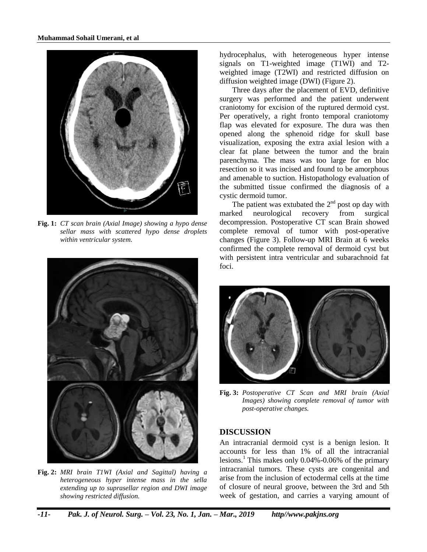

**Fig. 1:** *CT scan brain (Axial Image) showing a hypo dense sellar mass with scattered hypo dense droplets within ventricular system.*



**Fig. 2:** *MRI brain T1WI (Axial and Sagittal) having a heterogeneous hyper intense mass in the sella extending up to suprasellar region and DWI image showing restricted diffusion.*

hydrocephalus, with heterogeneous hyper intense signals on T1-weighted image (T1WI) and T2 weighted image (T2WI) and restricted diffusion on diffusion weighted image (DWI) (Figure 2).

Three days after the placement of EVD, definitive surgery was performed and the patient underwent craniotomy for excision of the ruptured dermoid cyst. Per operatively, a right fronto temporal craniotomy flap was elevated for exposure. The dura was then opened along the sphenoid ridge for skull base visualization, exposing the extra axial lesion with a clear fat plane between the tumor and the brain parenchyma. The mass was too large for en bloc resection so it was incised and found to be amorphous and amenable to suction. Histopathology evaluation of the submitted tissue confirmed the diagnosis of a cystic dermoid tumor.

The patient was extubated the  $2<sup>nd</sup>$  post op day with marked neurological recovery from surgical decompression. Postoperative CT scan Brain showed complete removal of tumor with post-operative changes (Figure 3). Follow-up MRI Brain at 6 weeks confirmed the complete removal of dermoid cyst but with persistent intra ventricular and subarachnoid fat foci.



**Fig. 3:** *Postoperative CT Scan and MRI brain (Axial Images) showing complete removal of tumor with post-operative changes.*

## **DISCUSSION**

An intracranial dermoid cyst is a benign lesion. It accounts for less than 1% of all the intracranial lesions.<sup>1</sup> This makes only 0.04%-0.06% of the primary intracranial tumors. These cysts are congenital and arise from the inclusion of ectodermal cells at the time of closure of neural groove, between the 3rd and 5th week of gestation, and carries a varying amount of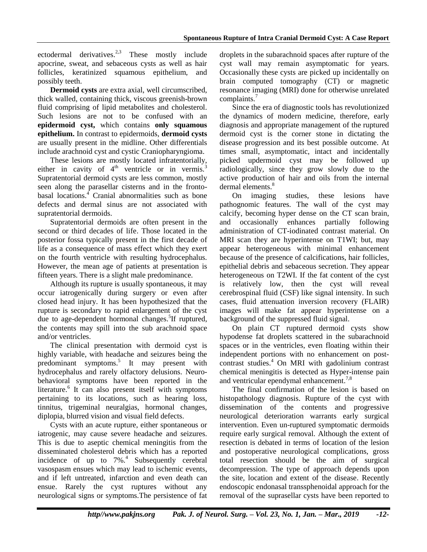ectodermal derivatives.<sup>2,3</sup> These mostly include apocrine, sweat, and sebaceous cysts as well as hair follicles, keratinized squamous epithelium, and possibly teeth.

**Dermoid cysts** are extra axial, well circumscribed, thick walled, containing thick, viscous greenish-brown fluid comprising of lipid metabolites and cholesterol. Such lesions are not to be confused with an **epidermoid cyst,** which contains **only squamous epithelium.** In contrast to epidermoids, **dermoid cysts** are usually present in the midline. Other differentials include arachnoid cyst and cystic Craniopharyngioma.

These lesions are mostly located infratentorially, either in cavity of  $4<sup>th</sup>$  ventricle or in vermis.<sup>3</sup> Supratentorial dermoid cysts are less common, mostly seen along the parasellar cisterns and in the frontobasal locations.<sup>4</sup> Cranial abnormalities such as bone defects and dermal sinus are not associated with supratentorial dermoids.

Supratentorial dermoids are often present in the second or third decades of life. Those located in the posterior fossa typically present in the first decade of life as a consequence of mass effect which they exert on the fourth ventricle with resulting hydrocephalus. However, the mean age of patients at presentation is fifteen years. There is a slight male predominance.

Although its rupture is usually spontaneous, it may occur iatrogenically during surgery or even after closed head injury. It has been hypothesized that the rupture is secondary to rapid enlargement of the cyst due to age-dependent hormonal changes.<sup>5</sup>If ruptured, the contents may spill into the sub arachnoid space and/or ventricles.

The clinical presentation with dermoid cyst is highly variable, with headache and seizures being the predominant symptoms. 5 It may present with hydrocephalus and rarely olfactory delusions. Neurobehavioral symptoms have been reported in the literature.<sup>6</sup> It can also present itself with symptoms pertaining to its locations, such as hearing loss, tinnitus, trigeminal neuralgias, hormonal changes, diplopia, blurred vision and visual field defects.

Cysts with an acute rupture, either spontaneous or iatrogenic, may cause severe headache and seizures. This is due to aseptic chemical meningitis from the disseminated cholesterol debris which has a reported incidence of up to  $7\%$ <sup>4</sup> Subsequently cerebral vasospasm ensues which may lead to ischemic events, and if left untreated, infarction and even death can ensue. Rarely the cyst ruptures without any neurological signs or symptoms.The persistence of fat

droplets in the subarachnoid spaces after rupture of the cyst wall may remain asymptomatic for years. Occasionally these cysts are picked up incidentally on brain computed tomography (CT) or magnetic resonance imaging (MRI) done for otherwise unrelated complaints.<sup>7</sup>

Since the era of diagnostic tools has revolutionized the dynamics of modern medicine, therefore, early diagnosis and appropriate management of the ruptured dermoid cyst is the corner stone in dictating the disease progression and its best possible outcome. At times small, asymptomatic, intact and incidentally picked updermoid cyst may be followed up radiologically, since they grow slowly due to the active production of hair and oils from the internal dermal elements.<sup>8</sup>

On imaging studies, these lesions have pathognomic features. The wall of the cyst may calcify, becoming hyper dense on the CT scan brain, and occasionally enhances partially following administration of CT-iodinated contrast material. On MRI scan they are hyperintense on T1WI; but, may appear heterogeneous with minimal enhancement because of the presence of calcifications, hair follicles, epithelial debris and sebaceous secretion. They appear heterogeneous on T2WI. If the fat content of the cyst is relatively low, then the cyst will reveal cerebrospinal fluid (CSF) like signal intensity. In such cases, fluid attenuation inversion recovery (FLAIR) images will make fat appear hyperintense on a background of the suppressed fluid signal.

On plain CT ruptured dermoid cysts show hypodense fat droplets scattered in the subarachnoid spaces or in the ventricles, even floating within their independent portions with no enhancement on postcontrast studies.<sup>4</sup> On MRI with gadolinium contrast chemical meningitis is detected as Hyper-intense pain and ventricular ependymal enhancement.<sup>7,8</sup>

The final confirmation of the lesion is based on histopathology diagnosis. Rupture of the cyst with dissemination of the contents and progressive neurological deterioration warrants early surgical intervention. Even un-ruptured symptomatic dermoids require early surgical removal. Although the extent of resection is debated in terms of location of the lesion and postoperative neurological complications, gross total resection should be the aim of surgical decompression. The type of approach depends upon the site, location and extent of the disease. Recently endoscopic endonasal transsphenoidal approach for the removal of the suprasellar cysts have been reported to